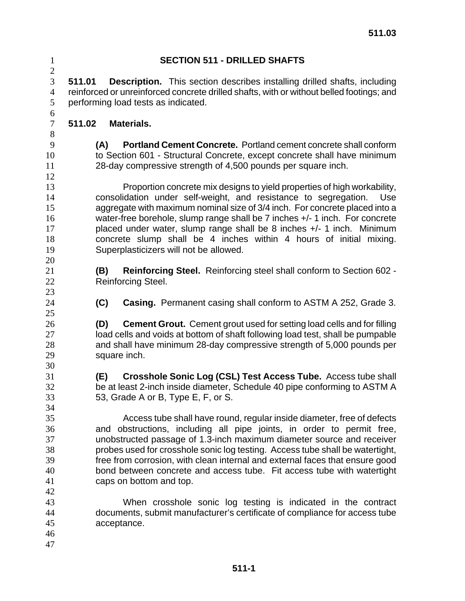| $\mathbf{1}$<br>$\overline{c}$               |                                                                     | <b>SECTION 511 - DRILLED SHAFTS</b>                                                                                                                                                                                                                                                                                                                                                                                                                                 |
|----------------------------------------------|---------------------------------------------------------------------|---------------------------------------------------------------------------------------------------------------------------------------------------------------------------------------------------------------------------------------------------------------------------------------------------------------------------------------------------------------------------------------------------------------------------------------------------------------------|
| 3<br>$\overline{4}$<br>5<br>6                | 511.01<br>performing load tests as indicated.                       | <b>Description.</b> This section describes installing drilled shafts, including<br>reinforced or unreinforced concrete drilled shafts, with or without belled footings; and                                                                                                                                                                                                                                                                                         |
| $\boldsymbol{7}$<br>8                        | 511.02<br><b>Materials.</b>                                         |                                                                                                                                                                                                                                                                                                                                                                                                                                                                     |
| 9<br>10<br>11<br>12                          | (A)<br>28-day compressive strength of 4,500 pounds per square inch. | Portland Cement Concrete. Portland cement concrete shall conform<br>to Section 601 - Structural Concrete, except concrete shall have minimum                                                                                                                                                                                                                                                                                                                        |
| 13<br>14<br>15<br>16<br>17<br>18<br>19<br>20 | Superplasticizers will not be allowed.                              | Proportion concrete mix designs to yield properties of high workability,<br>consolidation under self-weight, and resistance to segregation.<br>Use<br>aggregate with maximum nominal size of 3/4 inch. For concrete placed into a<br>water-free borehole, slump range shall be 7 inches +/- 1 inch. For concrete<br>placed under water, slump range shall be 8 inches +/- 1 inch. Minimum<br>concrete slump shall be 4 inches within 4 hours of initial mixing.     |
| 21<br>22<br>23                               | (B)<br>Reinforcing Steel.                                           | Reinforcing Steel. Reinforcing steel shall conform to Section 602 -                                                                                                                                                                                                                                                                                                                                                                                                 |
| 24<br>25                                     | (C)                                                                 | <b>Casing.</b> Permanent casing shall conform to ASTM A 252, Grade 3.                                                                                                                                                                                                                                                                                                                                                                                               |
| 26<br>27<br>28<br>29<br>30                   | (D)<br>square inch.                                                 | <b>Cement Grout.</b> Cement grout used for setting load cells and for filling<br>load cells and voids at bottom of shaft following load test, shall be pumpable<br>and shall have minimum 28-day compressive strength of 5,000 pounds per                                                                                                                                                                                                                           |
| 31<br>32<br>33<br>34                         | (E)<br>53, Grade A or B, Type E, F, or S.                           | Crosshole Sonic Log (CSL) Test Access Tube. Access tube shall<br>be at least 2-inch inside diameter, Schedule 40 pipe conforming to ASTM A                                                                                                                                                                                                                                                                                                                          |
| 35<br>36<br>37<br>38<br>39<br>40<br>41<br>42 | caps on bottom and top.                                             | Access tube shall have round, regular inside diameter, free of defects<br>and obstructions, including all pipe joints, in order to permit free,<br>unobstructed passage of 1.3-inch maximum diameter source and receiver<br>probes used for crosshole sonic log testing. Access tube shall be watertight,<br>free from corrosion, with clean internal and external faces that ensure good<br>bond between concrete and access tube. Fit access tube with watertight |
| 43<br>44<br>45<br>46<br>47                   | acceptance.                                                         | When crosshole sonic log testing is indicated in the contract<br>documents, submit manufacturer's certificate of compliance for access tube                                                                                                                                                                                                                                                                                                                         |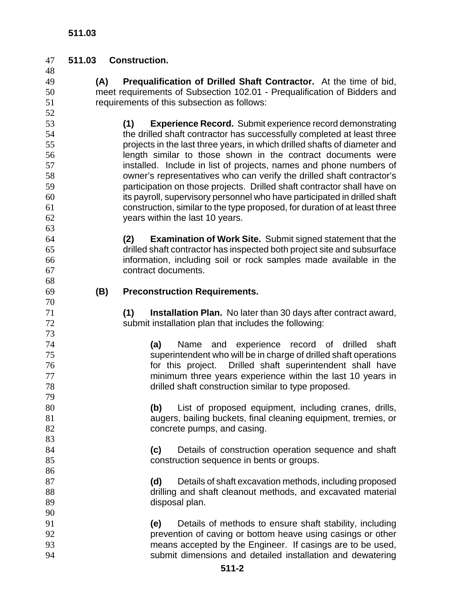#### **511.03 Construction.**

- **(A) Prequalification of Drilled Shaft Contractor.** At the time of bid, meet requirements of Subsection 102.01 - Prequalification of Bidders and requirements of this subsection as follows:
- **(1) Experience Record.** Submit experience record demonstrating the drilled shaft contractor has successfully completed at least three projects in the last three years, in which drilled shafts of diameter and length similar to those shown in the contract documents were installed. Include in list of projects, names and phone numbers of owner's representatives who can verify the drilled shaft contractor's participation on those projects. Drilled shaft contractor shall have on its payroll, supervisory personnel who have participated in drilled shaft construction, similar to the type proposed, for duration of at least three years within the last 10 years.

**(2) Examination of Work Site.** Submit signed statement that the drilled shaft contractor has inspected both project site and subsurface information, including soil or rock samples made available in the contract documents.

**(B) Preconstruction Requirements.**

**(1) Installation Plan.** No later than 30 days after contract award, submit installation plan that includes the following:

**(a)** Name and experience record of drilled shaft superintendent who will be in charge of drilled shaft operations for this project. Drilled shaft superintendent shall have minimum three years experience within the last 10 years in drilled shaft construction similar to type proposed.

**(b)** List of proposed equipment, including cranes, drills, augers, bailing buckets, final cleaning equipment, tremies, or 82 concrete pumps, and casing.

**(c)** Details of construction operation sequence and shaft construction sequence in bents or groups.

**(d)** Details of shaft excavation methods, including proposed drilling and shaft cleanout methods, and excavated material disposal plan.

**(e)** Details of methods to ensure shaft stability, including prevention of caving or bottom heave using casings or other means accepted by the Engineer. If casings are to be used, submit dimensions and detailed installation and dewatering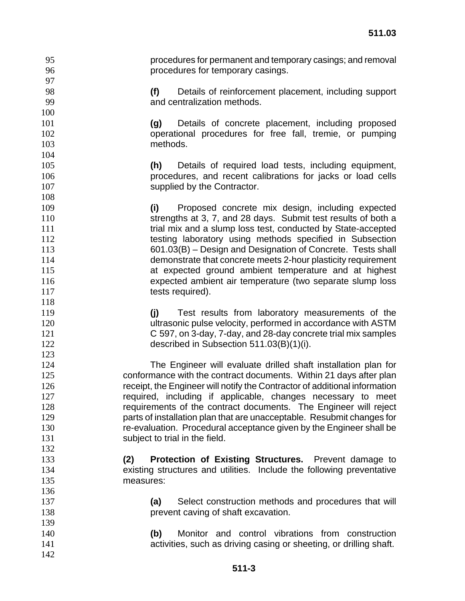procedures for permanent and temporary casings; and removal procedures for temporary casings.

**(f)** Details of reinforcement placement, including support and centralization methods.

**(g)** Details of concrete placement, including proposed operational procedures for free fall, tremie, or pumping methods.

**(h)** Details of required load tests, including equipment, procedures, and recent calibrations for jacks or load cells 107 supplied by the Contractor.

**(i)** Proposed concrete mix design, including expected strengths at 3, 7, and 28 days. Submit test results of both a **11** trial mix and a slump loss test, conducted by State-accepted 112 testing laboratory using methods specified in Subsection 601.03(B) – Design and Designation of Concrete. Tests shall demonstrate that concrete meets 2-hour plasticity requirement at expected ground ambient temperature and at highest expected ambient air temperature (two separate slump loss 117 tests required).

**(j)** Test results from laboratory measurements of the ultrasonic pulse velocity, performed in accordance with ASTM C 597, on 3-day, 7-day, and 28-day concrete trial mix samples described in Subsection 511.03(B)(1)(i).

The Engineer will evaluate drilled shaft installation plan for conformance with the contract documents. Within 21 days after plan receipt, the Engineer will notify the Contractor of additional information required, including if applicable, changes necessary to meet requirements of the contract documents. The Engineer will reject parts of installation plan that are unacceptable. Resubmit changes for re-evaluation. Procedural acceptance given by the Engineer shall be 131 subject to trial in the field.

- **(2) Protection of Existing Structures.** Prevent damage to existing structures and utilities. Include the following preventative measures:
- **(a)** Select construction methods and procedures that will **prevent caving of shaft excavation.**
- **(b)** Monitor and control vibrations from construction activities, such as driving casing or sheeting, or drilling shaft.
	- **511-3**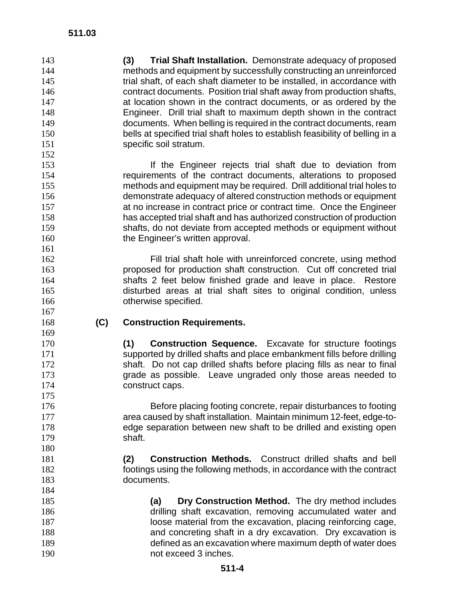**(3) Trial Shaft Installation.** Demonstrate adequacy of proposed methods and equipment by successfully constructing an unreinforced 145 trial shaft, of each shaft diameter to be installed, in accordance with contract documents. Position trial shaft away from production shafts, at location shown in the contract documents, or as ordered by the Engineer. Drill trial shaft to maximum depth shown in the contract documents. When belling is required in the contract documents, ream bells at specified trial shaft holes to establish feasibility of belling in a 151 specific soil stratum. 

If the Engineer rejects trial shaft due to deviation from requirements of the contract documents, alterations to proposed methods and equipment may be required. Drill additional trial holes to demonstrate adequacy of altered construction methods or equipment at no increase in contract price or contract time. Once the Engineer has accepted trial shaft and has authorized construction of production shafts, do not deviate from accepted methods or equipment without 160 the Engineer's written approval.

Fill trial shaft hole with unreinforced concrete, using method proposed for production shaft construction. Cut off concreted trial shafts 2 feet below finished grade and leave in place. Restore disturbed areas at trial shaft sites to original condition, unless **otherwise specified.** 

# **(C) Construction Requirements.**

**(1) Construction Sequence.** Excavate for structure footings supported by drilled shafts and place embankment fills before drilling shaft. Do not cap drilled shafts before placing fills as near to final grade as possible. Leave ungraded only those areas needed to 174 construct caps.

Before placing footing concrete, repair disturbances to footing area caused by shaft installation. Maintain minimum 12-feet, edge-to-edge separation between new shaft to be drilled and existing open shaft.

**(2) Construction Methods.** Construct drilled shafts and bell footings using the following methods, in accordance with the contract documents.

**(a) Dry Construction Method.** The dry method includes drilling shaft excavation, removing accumulated water and **187** loose material from the excavation, placing reinforcing cage, and concreting shaft in a dry excavation. Dry excavation is defined as an excavation where maximum depth of water does not exceed 3 inches.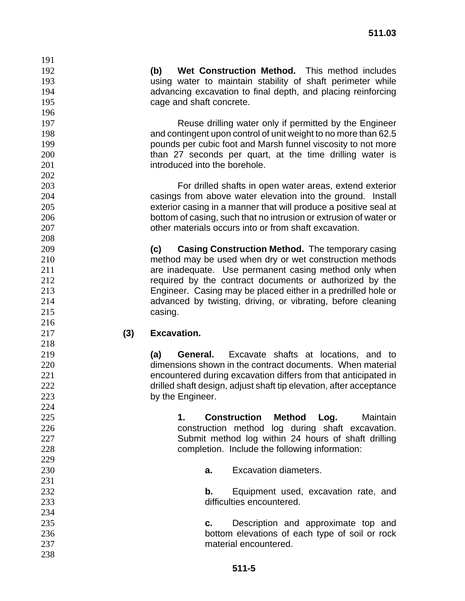**(b) Wet Construction Method.** This method includes using water to maintain stability of shaft perimeter while advancing excavation to final depth, and placing reinforcing 195 cage and shaft concrete.

Reuse drilling water only if permitted by the Engineer and contingent upon control of unit weight to no more than 62.5 pounds per cubic foot and Marsh funnel viscosity to not more 200 than 27 seconds per quart, at the time drilling water is introduced into the borehole.

For drilled shafts in open water areas, extend exterior casings from above water elevation into the ground. Install exterior casing in a manner that will produce a positive seal at bottom of casing, such that no intrusion or extrusion of water or other materials occurs into or from shaft excavation.

**(c) Casing Construction Method.** The temporary casing method may be used when dry or wet construction methods **are inadequate.** Use permanent casing method only when required by the contract documents or authorized by the Engineer. Casing may be placed either in a predrilled hole or advanced by twisting, driving, or vibrating, before cleaning 215 casing.

### **(3) Excavation.**

**(a) General.** Excavate shafts at locations, and to dimensions shown in the contract documents. When material encountered during excavation differs from that anticipated in drilled shaft design, adjust shaft tip elevation, after acceptance 223 by the Engineer.

**1. Construction Method Log.** Maintain construction method log during shaft excavation. Submit method log within 24 hours of shaft drilling completion. Include the following information:

**a.** Excavation diameters.

**b.** Equipment used, excavation rate, and difficulties encountered.

- **c.** Description and approximate top and bottom elevations of each type of soil or rock material encountered.
	- **511-5**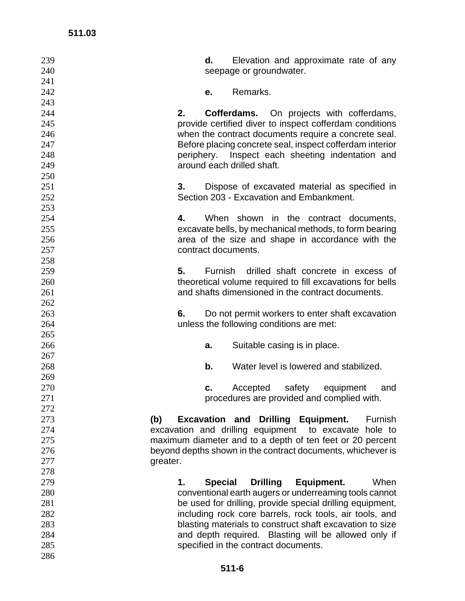| 239             |    | d.             | Elevation and approximate rate of any                       |
|-----------------|----|----------------|-------------------------------------------------------------|
| 240             |    |                | seepage or groundwater.                                     |
| 241             |    |                |                                                             |
| 242             |    | е.             | Remarks.                                                    |
| 243             |    |                |                                                             |
| 244             | 2. |                | <b>Cofferdams.</b> On projects with cofferdams,             |
| 245             |    |                | provide certified diver to inspect cofferdam conditions     |
| 246             |    |                | when the contract documents require a concrete seal.        |
| 247             |    |                | Before placing concrete seal, inspect cofferdam interior    |
| 248             |    |                | periphery. Inspect each sheeting indentation and            |
| 249             |    |                | around each drilled shaft.                                  |
| 250             |    |                |                                                             |
| 251             | 3. |                | Dispose of excavated material as specified in               |
| 252             |    |                | Section 203 - Excavation and Embankment.                    |
| 253             |    |                |                                                             |
| 254             | 4. |                | When shown in the contract documents,                       |
| 255             |    |                | excavate bells, by mechanical methods, to form bearing      |
| 256             |    |                | area of the size and shape in accordance with the           |
| 257             |    |                | contract documents.                                         |
| 258             |    |                |                                                             |
| 259             | 5. | <b>Furnish</b> | drilled shaft concrete in excess of                         |
| 260             |    |                | theoretical volume required to fill excavations for bells   |
| 261             |    |                | and shafts dimensioned in the contract documents.           |
| 262             |    |                |                                                             |
| 263             | 6. |                | Do not permit workers to enter shaft excavation             |
| 264             |    |                | unless the following conditions are met:                    |
| 265             |    |                |                                                             |
| 266             |    | a.             | Suitable casing is in place.                                |
| 267             |    |                |                                                             |
| 268             |    | b.             | Water level is lowered and stabilized.                      |
| 269             |    |                |                                                             |
| 270             |    | c.             | safety<br>Accepted<br>equipment<br>and                      |
| 271             |    |                | procedures are provided and complied with.                  |
| 272             |    |                |                                                             |
| 273<br>(b)      |    |                | <b>Excavation and Drilling Equipment.</b><br>Furnish        |
| 274             |    |                | excavation and drilling equipment to excavate hole to       |
| 275             |    |                | maximum diameter and to a depth of ten feet or 20 percent   |
| 276             |    |                | beyond depths shown in the contract documents, whichever is |
| 277<br>greater. |    |                |                                                             |
| 278             |    |                |                                                             |
| 279             | 1. | <b>Special</b> | <b>Drilling</b><br>Equipment.<br>When                       |
| 280             |    |                | conventional earth augers or underreaming tools cannot      |
| 281             |    |                | be used for drilling, provide special drilling equipment,   |
| 282             |    |                | including rock core barrels, rock tools, air tools, and     |
| 283             |    |                | blasting materials to construct shaft excavation to size    |
| 284             |    |                | and depth required. Blasting will be allowed only if        |
| 285             |    |                | specified in the contract documents.                        |
| 286             |    |                |                                                             |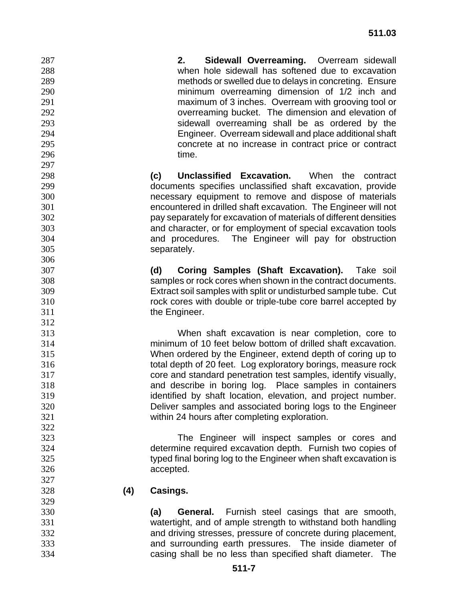**2. Sidewall Overreaming.** Overream sidewall when hole sidewall has softened due to excavation methods or swelled due to delays in concreting. Ensure minimum overreaming dimension of 1/2 inch and maximum of 3 inches. Overream with grooving tool or overreaming bucket. The dimension and elevation of sidewall overreaming shall be as ordered by the Engineer. Overream sidewall and place additional shaft concrete at no increase in contract price or contract 296 time. **(c) Unclassified Excavation.** When the contract documents specifies unclassified shaft excavation, provide necessary equipment to remove and dispose of materials encountered in drilled shaft excavation. The Engineer will not pay separately for excavation of materials of different densities and character, or for employment of special excavation tools and procedures. The Engineer will pay for obstruction separately. **(d) Coring Samples (Shaft Excavation).** Take soil samples or rock cores when shown in the contract documents. Extract soil samples with split or undisturbed sample tube. Cut rock cores with double or triple-tube core barrel accepted by **the Engineer.**  When shaft excavation is near completion, core to minimum of 10 feet below bottom of drilled shaft excavation. When ordered by the Engineer, extend depth of coring up to total depth of 20 feet. Log exploratory borings, measure rock core and standard penetration test samples, identify visually, and describe in boring log. Place samples in containers identified by shaft location, elevation, and project number. Deliver samples and associated boring logs to the Engineer within 24 hours after completing exploration. The Engineer will inspect samples or cores and determine required excavation depth. Furnish two copies of typed final boring log to the Engineer when shaft excavation is accepted. **(4) Casings. (a) General.** Furnish steel casings that are smooth, watertight, and of ample strength to withstand both handling and driving stresses, pressure of concrete during placement, and surrounding earth pressures. The inside diameter of casing shall be no less than specified shaft diameter. The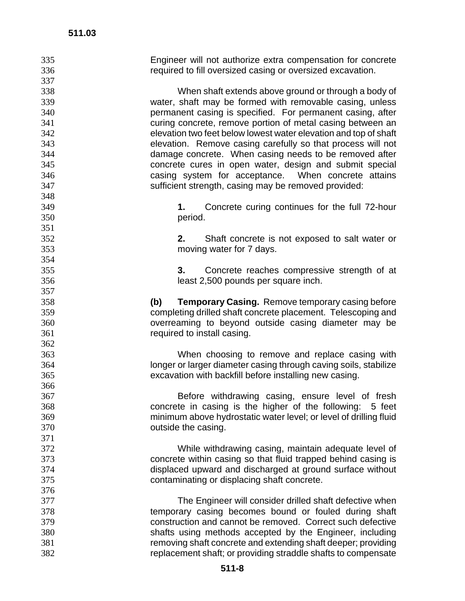| 335 | Engineer will not authorize extra compensation for concrete       |
|-----|-------------------------------------------------------------------|
| 336 | required to fill oversized casing or oversized excavation.        |
| 337 |                                                                   |
| 338 | When shaft extends above ground or through a body of              |
| 339 | water, shaft may be formed with removable casing, unless          |
| 340 | permanent casing is specified. For permanent casing, after        |
| 341 | curing concrete, remove portion of metal casing between an        |
| 342 | elevation two feet below lowest water elevation and top of shaft  |
| 343 | elevation. Remove casing carefully so that process will not       |
| 344 | damage concrete. When casing needs to be removed after            |
| 345 | concrete cures in open water, design and submit special           |
| 346 | casing system for acceptance. When concrete attains               |
| 347 | sufficient strength, casing may be removed provided:              |
| 348 |                                                                   |
| 349 | Concrete curing continues for the full 72-hour<br>1.              |
| 350 | period.                                                           |
| 351 |                                                                   |
| 352 | 2.<br>Shaft concrete is not exposed to salt water or              |
| 353 | moving water for 7 days.                                          |
| 354 |                                                                   |
| 355 | Concrete reaches compressive strength of at<br>3.                 |
| 356 | least 2,500 pounds per square inch.                               |
| 357 |                                                                   |
| 358 | <b>Temporary Casing.</b> Remove temporary casing before<br>(b)    |
| 359 | completing drilled shaft concrete placement. Telescoping and      |
| 360 | overreaming to beyond outside casing diameter may be              |
| 361 | required to install casing.                                       |
| 362 |                                                                   |
| 363 | When choosing to remove and replace casing with                   |
| 364 | longer or larger diameter casing through caving soils, stabilize  |
| 365 | excavation with backfill before installing new casing.            |
| 366 |                                                                   |
| 367 | Before withdrawing casing, ensure level of fresh                  |
| 368 | concrete in casing is the higher of the following:<br>5 feet      |
| 369 | minimum above hydrostatic water level; or level of drilling fluid |
| 370 | outside the casing.                                               |
| 371 |                                                                   |
| 372 | While withdrawing casing, maintain adequate level of              |
| 373 | concrete within casing so that fluid trapped behind casing is     |
| 374 | displaced upward and discharged at ground surface without         |
| 375 | contaminating or displacing shaft concrete.                       |
| 376 |                                                                   |
| 377 | The Engineer will consider drilled shaft defective when           |
| 378 | temporary casing becomes bound or fouled during shaft             |
| 379 | construction and cannot be removed. Correct such defective        |
| 380 | shafts using methods accepted by the Engineer, including          |
| 381 | removing shaft concrete and extending shaft deeper; providing     |
| 382 | replacement shaft; or providing straddle shafts to compensate     |
|     |                                                                   |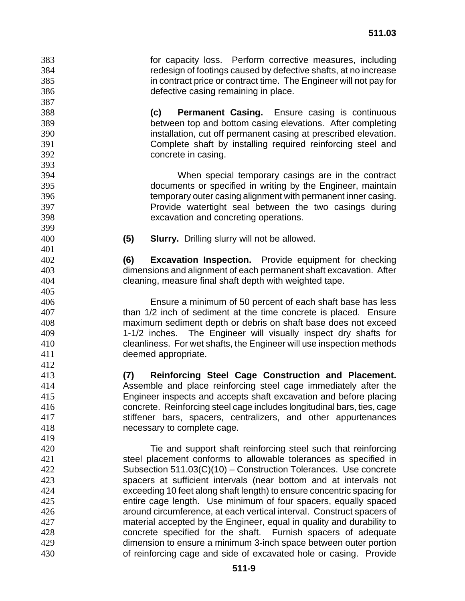for capacity loss. Perform corrective measures, including redesign of footings caused by defective shafts, at no increase in contract price or contract time. The Engineer will not pay for defective casing remaining in place.

**(c) Permanent Casing.** Ensure casing is continuous between top and bottom casing elevations. After completing installation, cut off permanent casing at prescribed elevation. Complete shaft by installing required reinforcing steel and concrete in casing.

When special temporary casings are in the contract documents or specified in writing by the Engineer, maintain temporary outer casing alignment with permanent inner casing. Provide watertight seal between the two casings during excavation and concreting operations.

**(5) Slurry.** Drilling slurry will not be allowed.

**(6) Excavation Inspection.** Provide equipment for checking dimensions and alignment of each permanent shaft excavation. After cleaning, measure final shaft depth with weighted tape.

Ensure a minimum of 50 percent of each shaft base has less than 1/2 inch of sediment at the time concrete is placed. Ensure maximum sediment depth or debris on shaft base does not exceed 1-1/2 inches. The Engineer will visually inspect dry shafts for cleanliness. For wet shafts, the Engineer will use inspection methods deemed appropriate.

**(7) Reinforcing Steel Cage Construction and Placement.** Assemble and place reinforcing steel cage immediately after the Engineer inspects and accepts shaft excavation and before placing concrete. Reinforcing steel cage includes longitudinal bars, ties, cage stiffener bars, spacers, centralizers, and other appurtenances necessary to complete cage.

Tie and support shaft reinforcing steel such that reinforcing steel placement conforms to allowable tolerances as specified in Subsection 511.03(C)(10) – Construction Tolerances. Use concrete spacers at sufficient intervals (near bottom and at intervals not exceeding 10 feet along shaft length) to ensure concentric spacing for entire cage length. Use minimum of four spacers, equally spaced around circumference, at each vertical interval. Construct spacers of material accepted by the Engineer, equal in quality and durability to concrete specified for the shaft. Furnish spacers of adequate dimension to ensure a minimum 3-inch space between outer portion of reinforcing cage and side of excavated hole or casing. Provide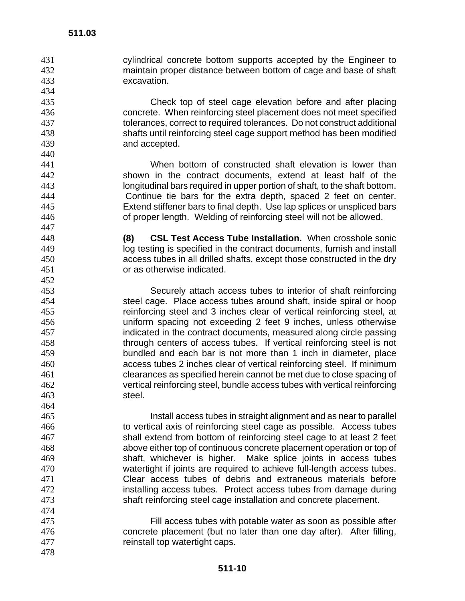cylindrical concrete bottom supports accepted by the Engineer to maintain proper distance between bottom of cage and base of shaft excavation.

Check top of steel cage elevation before and after placing concrete. When reinforcing steel placement does not meet specified tolerances, correct to required tolerances. Do not construct additional shafts until reinforcing steel cage support method has been modified and accepted.

When bottom of constructed shaft elevation is lower than shown in the contract documents, extend at least half of the longitudinal bars required in upper portion of shaft, to the shaft bottom. Continue tie bars for the extra depth, spaced 2 feet on center. Extend stiffener bars to final depth. Use lap splices or unspliced bars of proper length. Welding of reinforcing steel will not be allowed.

**(8) CSL Test Access Tube Installation.** When crosshole sonic log testing is specified in the contract documents, furnish and install access tubes in all drilled shafts, except those constructed in the dry or as otherwise indicated.

Securely attach access tubes to interior of shaft reinforcing steel cage. Place access tubes around shaft, inside spiral or hoop reinforcing steel and 3 inches clear of vertical reinforcing steel, at uniform spacing not exceeding 2 feet 9 inches, unless otherwise indicated in the contract documents, measured along circle passing through centers of access tubes. If vertical reinforcing steel is not bundled and each bar is not more than 1 inch in diameter, place access tubes 2 inches clear of vertical reinforcing steel. If minimum clearances as specified herein cannot be met due to close spacing of vertical reinforcing steel, bundle access tubes with vertical reinforcing steel.

Install access tubes in straight alignment and as near to parallel to vertical axis of reinforcing steel cage as possible. Access tubes shall extend from bottom of reinforcing steel cage to at least 2 feet above either top of continuous concrete placement operation or top of shaft, whichever is higher. Make splice joints in access tubes watertight if joints are required to achieve full-length access tubes. Clear access tubes of debris and extraneous materials before installing access tubes. Protect access tubes from damage during shaft reinforcing steel cage installation and concrete placement.

- Fill access tubes with potable water as soon as possible after concrete placement (but no later than one day after). After filling, 477 reinstall top watertight caps.
-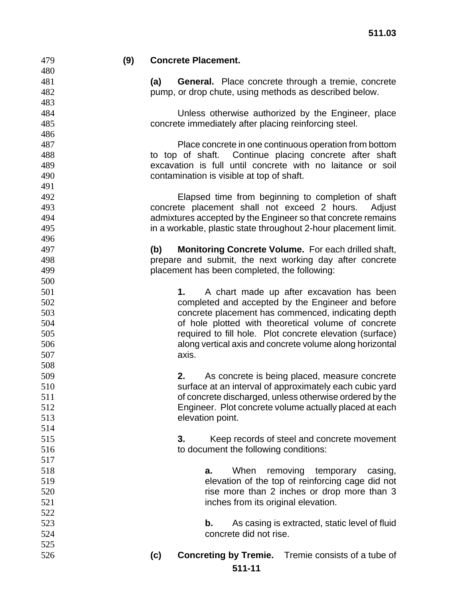**(9) Concrete Placement. (a) General.** Place concrete through a tremie, concrete pump, or drop chute, using methods as described below. Unless otherwise authorized by the Engineer, place concrete immediately after placing reinforcing steel. Place concrete in one continuous operation from bottom to top of shaft. Continue placing concrete after shaft excavation is full until concrete with no laitance or soil contamination is visible at top of shaft. Elapsed time from beginning to completion of shaft concrete placement shall not exceed 2 hours. Adjust admixtures accepted by the Engineer so that concrete remains in a workable, plastic state throughout 2-hour placement limit. **(b) Monitoring Concrete Volume.** For each drilled shaft, prepare and submit, the next working day after concrete placement has been completed, the following: **1.** A chart made up after excavation has been completed and accepted by the Engineer and before concrete placement has commenced, indicating depth of hole plotted with theoretical volume of concrete required to fill hole. Plot concrete elevation (surface) along vertical axis and concrete volume along horizontal axis. **2.** As concrete is being placed, measure concrete surface at an interval of approximately each cubic yard of concrete discharged, unless otherwise ordered by the Engineer. Plot concrete volume actually placed at each elevation point. **3.** Keep records of steel and concrete movement to document the following conditions: **a.** When removing temporary casing, elevation of the top of reinforcing cage did not **rise more than 2 inches or drop more than 3** inches from its original elevation. **b.** As casing is extracted, static level of fluid concrete did not rise. **(c) Concreting by Tremie.** Tremie consists of a tube of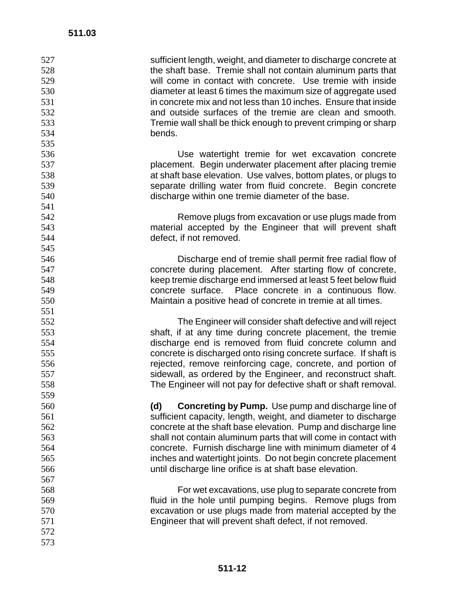| 527 | sufficient length, weight, and diameter to discharge concrete at                                                        |
|-----|-------------------------------------------------------------------------------------------------------------------------|
| 528 | the shaft base. Tremie shall not contain aluminum parts that                                                            |
| 529 | will come in contact with concrete. Use tremie with inside                                                              |
| 530 | diameter at least 6 times the maximum size of aggregate used                                                            |
| 531 | in concrete mix and not less than 10 inches. Ensure that inside                                                         |
| 532 | and outside surfaces of the tremie are clean and smooth.                                                                |
| 533 | Tremie wall shall be thick enough to prevent crimping or sharp                                                          |
| 534 | bends.                                                                                                                  |
| 535 |                                                                                                                         |
| 536 | Use watertight tremie for wet excavation concrete                                                                       |
| 537 | placement. Begin underwater placement after placing tremie                                                              |
| 538 | at shaft base elevation. Use valves, bottom plates, or plugs to                                                         |
| 539 | separate drilling water from fluid concrete. Begin concrete                                                             |
| 540 | discharge within one tremie diameter of the base.                                                                       |
| 541 |                                                                                                                         |
| 542 | Remove plugs from excavation or use plugs made from                                                                     |
| 543 | material accepted by the Engineer that will prevent shaft                                                               |
| 544 | defect, if not removed.                                                                                                 |
| 545 |                                                                                                                         |
| 546 |                                                                                                                         |
| 547 | Discharge end of tremie shall permit free radial flow of<br>concrete during placement. After starting flow of concrete, |
|     |                                                                                                                         |
| 548 | keep tremie discharge end immersed at least 5 feet below fluid                                                          |
| 549 | concrete surface. Place concrete in a continuous flow.                                                                  |
| 550 | Maintain a positive head of concrete in tremie at all times.                                                            |
| 551 |                                                                                                                         |
| 552 | The Engineer will consider shaft defective and will reject                                                              |
| 553 | shaft, if at any time during concrete placement, the tremie                                                             |
| 554 | discharge end is removed from fluid concrete column and                                                                 |
| 555 | concrete is discharged onto rising concrete surface. If shaft is                                                        |
| 556 | rejected, remove reinforcing cage, concrete, and portion of                                                             |
| 557 | sidewall, as ordered by the Engineer, and reconstruct shaft.                                                            |
| 558 | The Engineer will not pay for defective shaft or shaft removal.                                                         |
| 559 |                                                                                                                         |
| 560 | <b>Concreting by Pump.</b> Use pump and discharge line of<br>(d)                                                        |
| 561 | sufficient capacity, length, weight, and diameter to discharge                                                          |
| 562 | concrete at the shaft base elevation. Pump and discharge line                                                           |
| 563 | shall not contain aluminum parts that will come in contact with                                                         |
| 564 | concrete. Furnish discharge line with minimum diameter of 4                                                             |
| 565 | inches and watertight joints. Do not begin concrete placement                                                           |
| 566 | until discharge line orifice is at shaft base elevation.                                                                |
| 567 |                                                                                                                         |
| 568 | For wet excavations, use plug to separate concrete from                                                                 |
| 569 | fluid in the hole until pumping begins. Remove plugs from                                                               |
| 570 | excavation or use plugs made from material accepted by the                                                              |
| 571 | Engineer that will prevent shaft defect, if not removed.                                                                |
| 572 |                                                                                                                         |
| 573 |                                                                                                                         |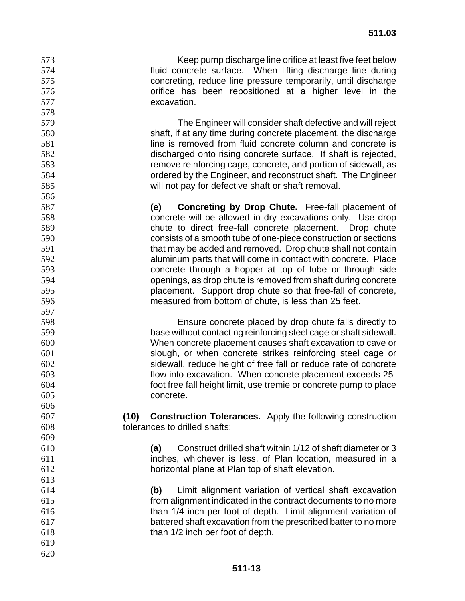Keep pump discharge line orifice at least five feet below fluid concrete surface. When lifting discharge line during concreting, reduce line pressure temporarily, until discharge orifice has been repositioned at a higher level in the excavation.

The Engineer will consider shaft defective and will reject shaft, if at any time during concrete placement, the discharge **stack is removed from fluid concrete column and concrete is sensuing the is** discharged onto rising concrete surface. If shaft is rejected, remove reinforcing cage, concrete, and portion of sidewall, as ordered by the Engineer, and reconstruct shaft. The Engineer will not pay for defective shaft or shaft removal.

**(e) Concreting by Drop Chute.** Free-fall placement of concrete will be allowed in dry excavations only. Use drop chute to direct free-fall concrete placement. Drop chute consists of a smooth tube of one-piece construction or sections that may be added and removed. Drop chute shall not contain aluminum parts that will come in contact with concrete. Place concrete through a hopper at top of tube or through side openings, as drop chute is removed from shaft during concrete placement. Support drop chute so that free-fall of concrete, measured from bottom of chute, is less than 25 feet.

Ensure concrete placed by drop chute falls directly to base without contacting reinforcing steel cage or shaft sidewall. When concrete placement causes shaft excavation to cave or slough, or when concrete strikes reinforcing steel cage or sidewall, reduce height of free fall or reduce rate of concrete flow into excavation. When concrete placement exceeds 25- foot free fall height limit, use tremie or concrete pump to place concrete.

**(10) Construction Tolerances.** Apply the following construction tolerances to drilled shafts:

**(a)** Construct drilled shaft within 1/12 of shaft diameter or 3 inches, whichever is less, of Plan location, measured in a horizontal plane at Plan top of shaft elevation.

**(b)** Limit alignment variation of vertical shaft excavation from alignment indicated in the contract documents to no more than 1/4 inch per foot of depth. Limit alignment variation of battered shaft excavation from the prescribed batter to no more than 1/2 inch per foot of depth.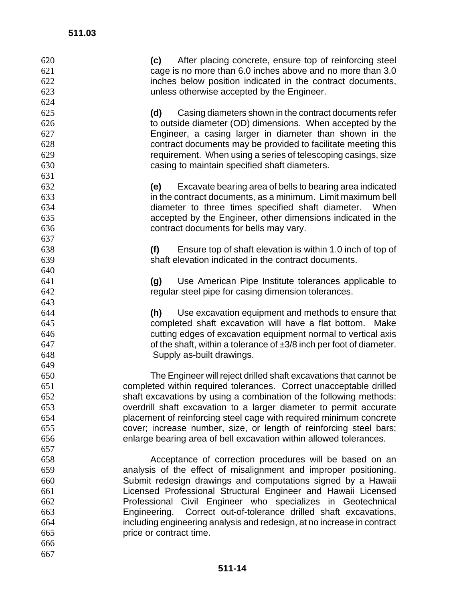| 620 | (c) After placing concrete, ensure top of reinforcing steel              |
|-----|--------------------------------------------------------------------------|
| 621 | cage is no more than 6.0 inches above and no more than 3.0               |
| 622 | inches below position indicated in the contract documents,               |
| 623 | unless otherwise accepted by the Engineer.                               |
| 624 |                                                                          |
| 625 | Casing diameters shown in the contract documents refer<br>(d)            |
| 626 | to outside diameter (OD) dimensions. When accepted by the                |
| 627 | Engineer, a casing larger in diameter than shown in the                  |
| 628 | contract documents may be provided to facilitate meeting this            |
| 629 | requirement. When using a series of telescoping casings, size            |
| 630 | casing to maintain specified shaft diameters.                            |
| 631 |                                                                          |
| 632 | Excavate bearing area of bells to bearing area indicated<br>(e)          |
| 633 | in the contract documents, as a minimum. Limit maximum bell              |
| 634 | diameter to three times specified shaft diameter. When                   |
| 635 | accepted by the Engineer, other dimensions indicated in the              |
| 636 | contract documents for bells may vary.                                   |
| 637 |                                                                          |
| 638 | (f)<br>Ensure top of shaft elevation is within 1.0 inch of top of        |
| 639 | shaft elevation indicated in the contract documents.                     |
| 640 |                                                                          |
| 641 | Use American Pipe Institute tolerances applicable to<br>(g)              |
| 642 | regular steel pipe for casing dimension tolerances.                      |
| 643 |                                                                          |
| 644 | Use excavation equipment and methods to ensure that<br>(h)               |
| 645 | completed shaft excavation will have a flat bottom. Make                 |
| 646 | cutting edges of excavation equipment normal to vertical axis            |
| 647 | of the shaft, within a tolerance of $\pm 3/8$ inch per foot of diameter. |
| 648 | Supply as-built drawings.                                                |
| 649 |                                                                          |
| 650 | The Engineer will reject drilled shaft excavations that cannot be        |
| 651 | completed within required tolerances. Correct unacceptable drilled       |
| 652 | shaft excavations by using a combination of the following methods:       |
| 653 | overdrill shaft excavation to a larger diameter to permit accurate       |
| 654 | placement of reinforcing steel cage with required minimum concrete       |
| 655 | cover; increase number, size, or length of reinforcing steel bars;       |
| 656 | enlarge bearing area of bell excavation within allowed tolerances.       |
| 657 |                                                                          |
| 658 | Acceptance of correction procedures will be based on an                  |
| 659 | analysis of the effect of misalignment and improper positioning.         |
| 660 | Submit redesign drawings and computations signed by a Hawaii             |
| 661 | Licensed Professional Structural Engineer and Hawaii Licensed            |
| 662 | Professional Civil Engineer who specializes in Geotechnical              |
| 663 | Engineering. Correct out-of-tolerance drilled shaft excavations,         |
| 664 | including engineering analysis and redesign, at no increase in contract  |
| 665 | price or contract time.                                                  |
| 666 |                                                                          |
| 667 |                                                                          |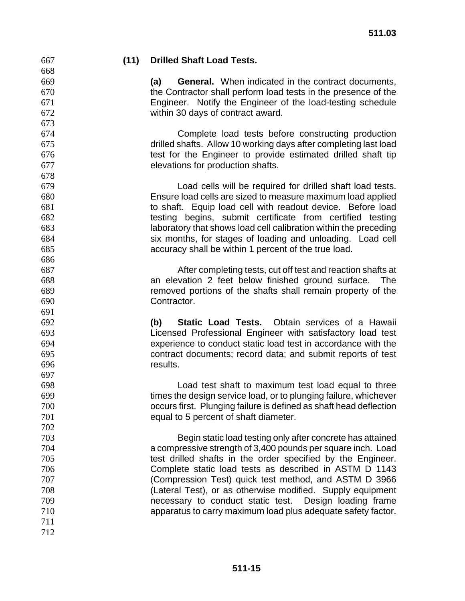# **(11) Drilled Shaft Load Tests.**

**(a) General.** When indicated in the contract documents, the Contractor shall perform load tests in the presence of the Engineer. Notify the Engineer of the load-testing schedule within 30 days of contract award.

Complete load tests before constructing production drilled shafts. Allow 10 working days after completing last load test for the Engineer to provide estimated drilled shaft tip elevations for production shafts.

Load cells will be required for drilled shaft load tests. Ensure load cells are sized to measure maximum load applied to shaft. Equip load cell with readout device. Before load testing begins, submit certificate from certified testing laboratory that shows load cell calibration within the preceding six months, for stages of loading and unloading. Load cell accuracy shall be within 1 percent of the true load.

After completing tests, cut off test and reaction shafts at an elevation 2 feet below finished ground surface. The removed portions of the shafts shall remain property of the Contractor.

**(b) Static Load Tests.** Obtain services of a Hawaii Licensed Professional Engineer with satisfactory load test experience to conduct static load test in accordance with the contract documents; record data; and submit reports of test results.

Load test shaft to maximum test load equal to three times the design service load, or to plunging failure, whichever occurs first. Plunging failure is defined as shaft head deflection equal to 5 percent of shaft diameter.

Begin static load testing only after concrete has attained a compressive strength of 3,400 pounds per square inch. Load test drilled shafts in the order specified by the Engineer. Complete static load tests as described in ASTM D 1143 (Compression Test) quick test method, and ASTM D 3966 (Lateral Test), or as otherwise modified. Supply equipment necessary to conduct static test. Design loading frame apparatus to carry maximum load plus adequate safety factor.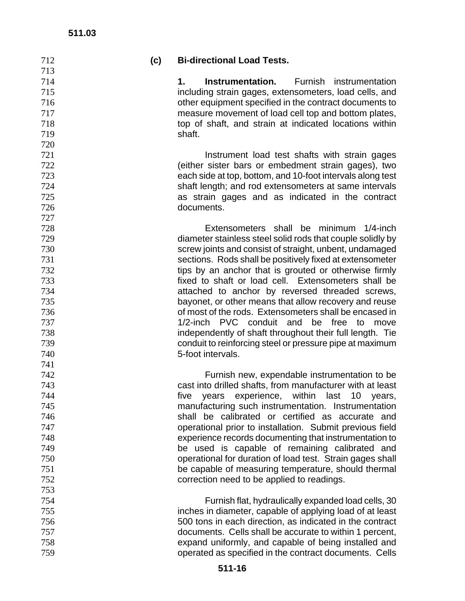| 712 | (c) | <b>Bi-directional Load Tests.</b>                          |
|-----|-----|------------------------------------------------------------|
| 713 |     |                                                            |
| 714 |     | Furnish instrumentation<br>Instrumentation.<br>1.          |
| 715 |     | including strain gages, extensometers, load cells, and     |
| 716 |     | other equipment specified in the contract documents to     |
| 717 |     | measure movement of load cell top and bottom plates,       |
| 718 |     | top of shaft, and strain at indicated locations within     |
| 719 |     | shaft.                                                     |
| 720 |     |                                                            |
| 721 |     | Instrument load test shafts with strain gages              |
| 722 |     | (either sister bars or embedment strain gages), two        |
| 723 |     | each side at top, bottom, and 10-foot intervals along test |
| 724 |     | shaft length; and rod extensometers at same intervals      |
| 725 |     | as strain gages and as indicated in the contract           |
| 726 |     | documents.                                                 |
| 727 |     |                                                            |
| 728 |     | Extensometers shall be minimum 1/4-inch                    |
| 729 |     | diameter stainless steel solid rods that couple solidly by |
| 730 |     | screw joints and consist of straight, unbent, undamaged    |
| 731 |     | sections. Rods shall be positively fixed at extensometer   |
| 732 |     | tips by an anchor that is grouted or otherwise firmly      |
| 733 |     | fixed to shaft or load cell. Extensometers shall be        |
| 734 |     | attached to anchor by reversed threaded screws,            |
| 735 |     | bayonet, or other means that allow recovery and reuse      |
| 736 |     | of most of the rods. Extensometers shall be encased in     |
| 737 |     | 1/2-inch PVC conduit and be free<br>to<br>move             |
| 738 |     | independently of shaft throughout their full length. Tie   |
| 739 |     | conduit to reinforcing steel or pressure pipe at maximum   |
| 740 |     | 5-foot intervals.                                          |
| 741 |     |                                                            |
| 742 |     | Furnish new, expendable instrumentation to be              |
| 743 |     | cast into drilled shafts, from manufacturer with at least  |
| 744 |     | five years experience, within last 10 years,               |
| 745 |     | manufacturing such instrumentation. Instrumentation        |
| 746 |     | shall be calibrated or certified as accurate and           |
| 747 |     | operational prior to installation. Submit previous field   |
| 748 |     | experience records documenting that instrumentation to     |
| 749 |     | be used is capable of remaining calibrated and             |
| 750 |     | operational for duration of load test. Strain gages shall  |
| 751 |     | be capable of measuring temperature, should thermal        |
| 752 |     | correction need to be applied to readings.                 |
| 753 |     |                                                            |
| 754 |     | Furnish flat, hydraulically expanded load cells, 30        |
| 755 |     | inches in diameter, capable of applying load of at least   |
| 756 |     | 500 tons in each direction, as indicated in the contract   |
| 757 |     | documents. Cells shall be accurate to within 1 percent,    |
|     |     |                                                            |
| 758 |     | expand uniformly, and capable of being installed and       |
| 759 |     | operated as specified in the contract documents. Cells     |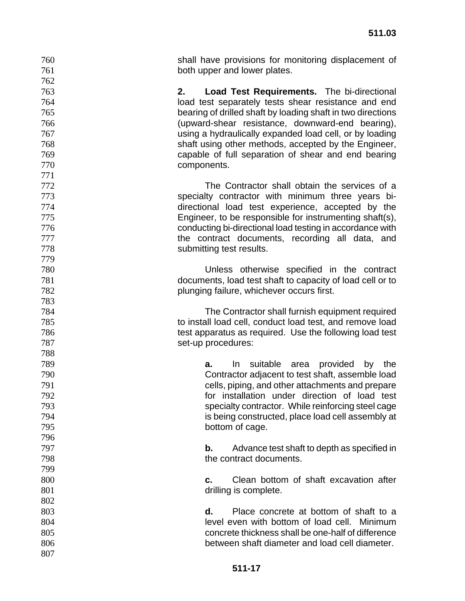| 760        | shall have provisions for monitoring displacement of        |
|------------|-------------------------------------------------------------|
| 761        | both upper and lower plates.                                |
| 762        |                                                             |
| 763<br>2.  | <b>Load Test Requirements.</b> The bi-directional           |
| 764        | load test separately tests shear resistance and end         |
| 765        | bearing of drilled shaft by loading shaft in two directions |
| 766        | (upward-shear resistance, downward-end bearing),            |
| 767        | using a hydraulically expanded load cell, or by loading     |
| 768        | shaft using other methods, accepted by the Engineer,        |
| 769        | capable of full separation of shear and end bearing         |
| 770        | components.                                                 |
| 771        |                                                             |
| 772        | The Contractor shall obtain the services of a               |
| 773        | specialty contractor with minimum three years bi-           |
| 774        | directional load test experience, accepted by the           |
| 775        | Engineer, to be responsible for instrumenting shaft(s),     |
| 776        | conducting bi-directional load testing in accordance with   |
| 777        | the contract documents, recording all data, and             |
| 778<br>779 | submitting test results.                                    |
| 780        | Unless otherwise specified in the contract                  |
| 781        | documents, load test shaft to capacity of load cell or to   |
| 782        | plunging failure, whichever occurs first.                   |
| 783        |                                                             |
| 784        | The Contractor shall furnish equipment required             |
| 785        | to install load cell, conduct load test, and remove load    |
| 786        | test apparatus as required. Use the following load test     |
| 787        | set-up procedures:                                          |
| 788        |                                                             |
| 789        | suitable<br>provided<br>In<br>area<br>by<br>the<br>а.       |
| 790        | Contractor adjacent to test shaft, assemble load            |
| 791        | cells, piping, and other attachments and prepare            |
| 792        | for installation under direction of load test               |
| 793        | specialty contractor. While reinforcing steel cage          |
| 794        | is being constructed, place load cell assembly at           |
| 795        | bottom of cage.                                             |
| 796        |                                                             |
| 797        | Advance test shaft to depth as specified in<br>b.           |
| 798        | the contract documents.                                     |
| 799        |                                                             |
| 800        | Clean bottom of shaft excavation after<br>C.                |
| 801        | drilling is complete.                                       |
| 802        |                                                             |
| 803        | Place concrete at bottom of shaft to a<br>d.                |
| 804        | level even with bottom of load cell. Minimum                |
| 805        | concrete thickness shall be one-half of difference          |
| 806        | between shaft diameter and load cell diameter.              |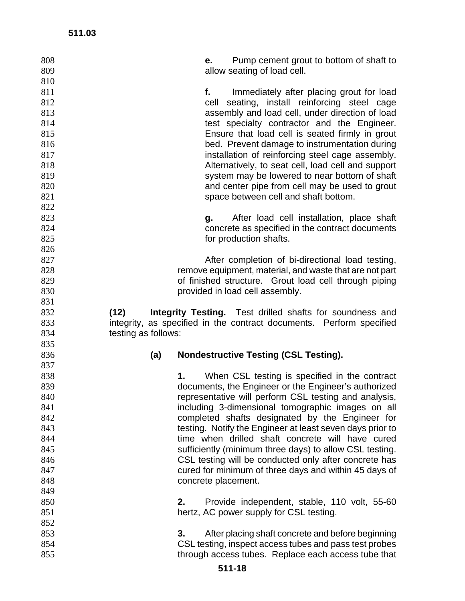| 808<br>809 |                     | е.                  | Pump cement grout to bottom of shaft to<br>allow seating of load cell.                                        |
|------------|---------------------|---------------------|---------------------------------------------------------------------------------------------------------------|
| 810        |                     |                     |                                                                                                               |
| 811        |                     | f.                  | Immediately after placing grout for load                                                                      |
| 812        |                     |                     | cell seating, install reinforcing steel cage                                                                  |
| 813        |                     |                     | assembly and load cell, under direction of load                                                               |
| 814        |                     |                     | test specialty contractor and the Engineer.                                                                   |
| 815        |                     |                     | Ensure that load cell is seated firmly in grout                                                               |
| 816        |                     |                     | bed. Prevent damage to instrumentation during                                                                 |
| 817        |                     |                     | installation of reinforcing steel cage assembly.                                                              |
| 818        |                     |                     | Alternatively, to seat cell, load cell and support                                                            |
| 819        |                     |                     | system may be lowered to near bottom of shaft                                                                 |
| 820        |                     |                     | and center pipe from cell may be used to grout                                                                |
| 821        |                     |                     | space between cell and shaft bottom.                                                                          |
| 822        |                     |                     |                                                                                                               |
|            |                     |                     |                                                                                                               |
| 823        |                     |                     | g. After load cell installation, place shaft                                                                  |
| 824        |                     |                     | concrete as specified in the contract documents                                                               |
| 825        |                     |                     | for production shafts.                                                                                        |
| 826        |                     |                     |                                                                                                               |
| 827        |                     |                     | After completion of bi-directional load testing,                                                              |
| 828        |                     |                     | remove equipment, material, and waste that are not part                                                       |
| 829        |                     |                     | of finished structure. Grout load cell through piping                                                         |
| 830        |                     |                     | provided in load cell assembly.                                                                               |
| 831        |                     |                     |                                                                                                               |
| 832        | (12)                |                     | <b>Integrity Testing.</b> Test drilled shafts for soundness and                                               |
| 833        |                     |                     | integrity, as specified in the contract documents. Perform specified                                          |
|            |                     |                     |                                                                                                               |
| 834        | testing as follows: |                     |                                                                                                               |
| 835        |                     |                     |                                                                                                               |
| 836        |                     |                     | <b>Nondestructive Testing (CSL Testing).</b>                                                                  |
| 837        | (a)                 |                     |                                                                                                               |
|            | 1.                  |                     |                                                                                                               |
| 838<br>839 |                     |                     | When CSL testing is specified in the contract                                                                 |
|            |                     |                     | documents, the Engineer or the Engineer's authorized                                                          |
| 840        |                     |                     | representative will perform CSL testing and analysis,                                                         |
| 841        |                     |                     | including 3-dimensional tomographic images on all                                                             |
| 842        |                     |                     | completed shafts designated by the Engineer for                                                               |
| 843        |                     |                     | testing. Notify the Engineer at least seven days prior to                                                     |
| 844        |                     |                     | time when drilled shaft concrete will have cured                                                              |
| 845        |                     |                     | sufficiently (minimum three days) to allow CSL testing.                                                       |
| 846        |                     |                     | CSL testing will be conducted only after concrete has                                                         |
| 847        |                     |                     | cured for minimum of three days and within 45 days of                                                         |
| 848        |                     | concrete placement. |                                                                                                               |
| 849        |                     |                     |                                                                                                               |
| 850        | 2.                  |                     | Provide independent, stable, 110 volt, 55-60                                                                  |
| 851        |                     |                     | hertz, AC power supply for CSL testing.                                                                       |
| 852        |                     |                     |                                                                                                               |
| 853        | 3.                  |                     | After placing shaft concrete and before beginning                                                             |
| 854<br>855 |                     |                     | CSL testing, inspect access tubes and pass test probes<br>through access tubes. Replace each access tube that |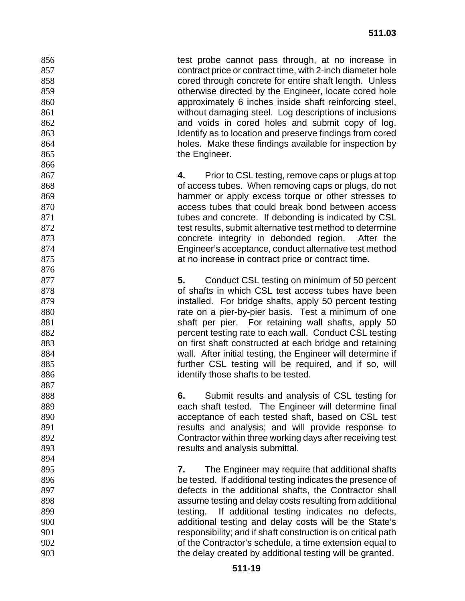856 test probe cannot pass through, at no increase in contract price or contract time, with 2-inch diameter hole cored through concrete for entire shaft length. Unless otherwise directed by the Engineer, locate cored hole approximately 6 inches inside shaft reinforcing steel, without damaging steel. Log descriptions of inclusions and voids in cored holes and submit copy of log. **Identify as to location and preserve findings from cored** holes. Make these findings available for inspection by 865 the Engineer.

**4.** Prior to CSL testing, remove caps or plugs at top of access tubes. When removing caps or plugs, do not hammer or apply excess torque or other stresses to access tubes that could break bond between access **tubes and concrete.** If debonding is indicated by CSL test results, submit alternative test method to determine concrete integrity in debonded region. After the Engineer's acceptance, conduct alternative test method 875 at no increase in contract price or contract time.

**5.** Conduct CSL testing on minimum of 50 percent of shafts in which CSL test access tubes have been **installed.** For bridge shafts, apply 50 percent testing **rate on a pier-by-pier basis.** Test a minimum of one shaft per pier. For retaining wall shafts, apply 50 percent testing rate to each wall. Conduct CSL testing on first shaft constructed at each bridge and retaining wall. After initial testing, the Engineer will determine if **further CSL testing will be required, and if so, will** identify those shafts to be tested.

**6.** Submit results and analysis of CSL testing for each shaft tested. The Engineer will determine final acceptance of each tested shaft, based on CSL test results and analysis; and will provide response to Contractor within three working days after receiving test results and analysis submittal.

**7.** The Engineer may require that additional shafts be tested. If additional testing indicates the presence of defects in the additional shafts, the Contractor shall assume testing and delay costs resulting from additional 899 testing. If additional testing indicates no defects, additional testing and delay costs will be the State's responsibility; and if shaft construction is on critical path of the Contractor's schedule, a time extension equal to the delay created by additional testing will be granted.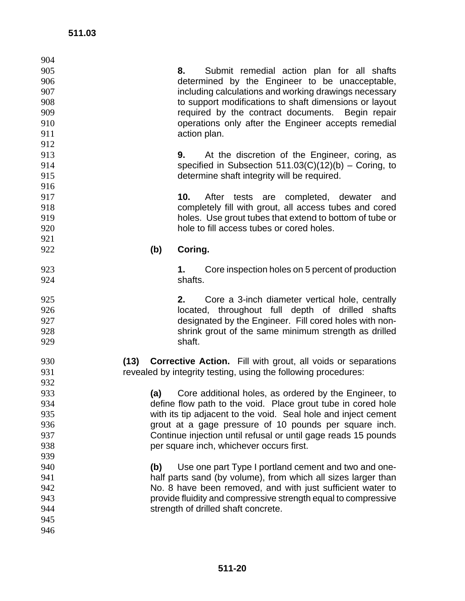| 904 |     |                                                                   |
|-----|-----|-------------------------------------------------------------------|
| 905 |     | Submit remedial action plan for all shafts<br>8.                  |
| 906 |     | determined by the Engineer to be unacceptable,                    |
| 907 |     | including calculations and working drawings necessary             |
| 908 |     | to support modifications to shaft dimensions or layout            |
| 909 |     | required by the contract documents. Begin repair                  |
| 910 |     | operations only after the Engineer accepts remedial               |
| 911 |     | action plan.                                                      |
| 912 |     |                                                                   |
| 913 |     | At the discretion of the Engineer, coring, as<br>9.               |
| 914 |     | specified in Subsection $511.03(C)(12)(b)$ – Coring, to           |
| 915 |     | determine shaft integrity will be required.                       |
| 916 |     |                                                                   |
| 917 |     | 10.<br>After tests are completed, dewater and                     |
| 918 |     | completely fill with grout, all access tubes and cored            |
| 919 |     | holes. Use grout tubes that extend to bottom of tube or           |
| 920 |     | hole to fill access tubes or cored holes.                         |
| 921 |     |                                                                   |
| 922 | (b) | Coring.                                                           |
|     |     |                                                                   |
| 923 |     | Core inspection holes on 5 percent of production<br>1.            |
| 924 |     | shafts.                                                           |
|     |     |                                                                   |
| 925 |     | Core a 3-inch diameter vertical hole, centrally<br>2.             |
| 926 |     | located, throughout full depth of drilled shafts                  |
| 927 |     | designated by the Engineer. Fill cored holes with non-            |
| 928 |     | shrink grout of the same minimum strength as drilled              |
| 929 |     | shaft.                                                            |
|     |     |                                                                   |
| 930 |     | (13) Corrective Action. Fill with grout, all voids or separations |
| 931 |     | revealed by integrity testing, using the following procedures:    |
| 932 |     |                                                                   |
| 933 | (a) | Core additional holes, as ordered by the Engineer, to             |
| 934 |     | define flow path to the void. Place grout tube in cored hole      |
| 935 |     | with its tip adjacent to the void. Seal hole and inject cement    |
| 936 |     | grout at a gage pressure of 10 pounds per square inch.            |
| 937 |     | Continue injection until refusal or until gage reads 15 pounds    |
| 938 |     | per square inch, whichever occurs first.                          |
| 939 |     |                                                                   |
| 940 | (b) | Use one part Type I portland cement and two and one-              |
| 941 |     | half parts sand (by volume), from which all sizes larger than     |
| 942 |     | No. 8 have been removed, and with just sufficient water to        |
| 943 |     | provide fluidity and compressive strength equal to compressive    |
| 944 |     | strength of drilled shaft concrete.                               |
| 945 |     |                                                                   |
| 946 |     |                                                                   |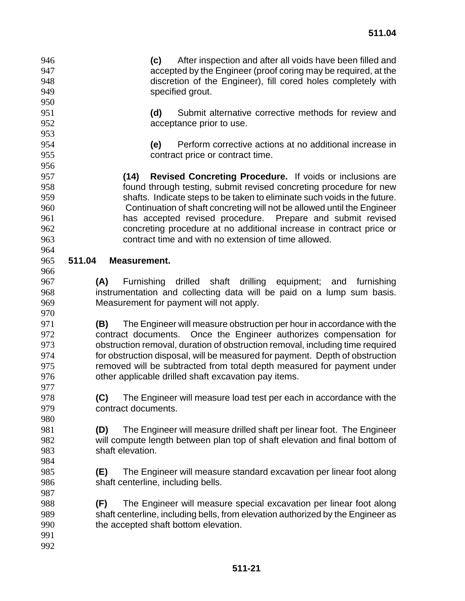**(c)** After inspection and after all voids have been filled and accepted by the Engineer (proof coring may be required, at the discretion of the Engineer), fill cored holes completely with specified grout.

**(d)** Submit alternative corrective methods for review and acceptance prior to use.

**(e)** Perform corrective actions at no additional increase in contract price or contract time.

**(14) Revised Concreting Procedure.** If voids or inclusions are found through testing, submit revised concreting procedure for new shafts. Indicate steps to be taken to eliminate such voids in the future. Continuation of shaft concreting will not be allowed until the Engineer has accepted revised procedure. Prepare and submit revised concreting procedure at no additional increase in contract price or contract time and with no extension of time allowed.

# **511.04 Measurement.**

**(A)** Furnishing drilled shaft drilling equipment; and furnishing instrumentation and collecting data will be paid on a lump sum basis. Measurement for payment will not apply.

**(B)** The Engineer will measure obstruction per hour in accordance with the contract documents. Once the Engineer authorizes compensation for obstruction removal, duration of obstruction removal, including time required for obstruction disposal, will be measured for payment. Depth of obstruction removed will be subtracted from total depth measured for payment under other applicable drilled shaft excavation pay items.

**(C)** The Engineer will measure load test per each in accordance with the contract documents.

**(D)** The Engineer will measure drilled shaft per linear foot. The Engineer will compute length between plan top of shaft elevation and final bottom of shaft elevation.

- **(E)** The Engineer will measure standard excavation per linear foot along shaft centerline, including bells.
- **(F)** The Engineer will measure special excavation per linear foot along shaft centerline, including bells, from elevation authorized by the Engineer as the accepted shaft bottom elevation.
-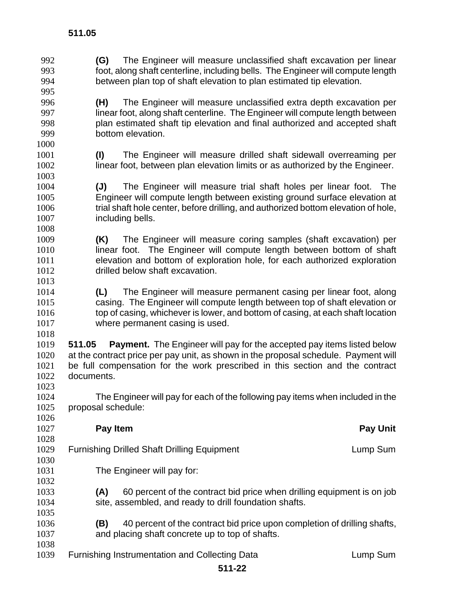**(G)** The Engineer will measure unclassified shaft excavation per linear foot, along shaft centerline, including bells. The Engineer will compute length between plan top of shaft elevation to plan estimated tip elevation. **(H)** The Engineer will measure unclassified extra depth excavation per linear foot, along shaft centerline. The Engineer will compute length between plan estimated shaft tip elevation and final authorized and accepted shaft bottom elevation. **(I)** The Engineer will measure drilled shaft sidewall overreaming per linear foot, between plan elevation limits or as authorized by the Engineer. **(J)** The Engineer will measure trial shaft holes per linear foot. The Engineer will compute length between existing ground surface elevation at trial shaft hole center, before drilling, and authorized bottom elevation of hole, including bells. **(K)** The Engineer will measure coring samples (shaft excavation) per **linear foot.** The Engineer will compute length between bottom of shaft elevation and bottom of exploration hole, for each authorized exploration drilled below shaft excavation. **(L)** The Engineer will measure permanent casing per linear foot, along casing. The Engineer will compute length between top of shaft elevation or top of casing, whichever is lower, and bottom of casing, at each shaft location where permanent casing is used. **511.05 Payment.** The Engineer will pay for the accepted pay items listed below at the contract price per pay unit, as shown in the proposal schedule. Payment will be full compensation for the work prescribed in this section and the contract documents. The Engineer will pay for each of the following pay items when included in the proposal schedule: **Pay Item Pay Unit**  1029 Furnishing Drilled Shaft Drilling Equipment Lump Sum Lump Sum The Engineer will pay for: **(A)** 60 percent of the contract bid price when drilling equipment is on job 1034 site, assembled, and ready to drill foundation shafts. **(B)** 40 percent of the contract bid price upon completion of drilling shafts, and placing shaft concrete up to top of shafts. 1039 Furnishing Instrumentation and Collecting Data **Lump Sum**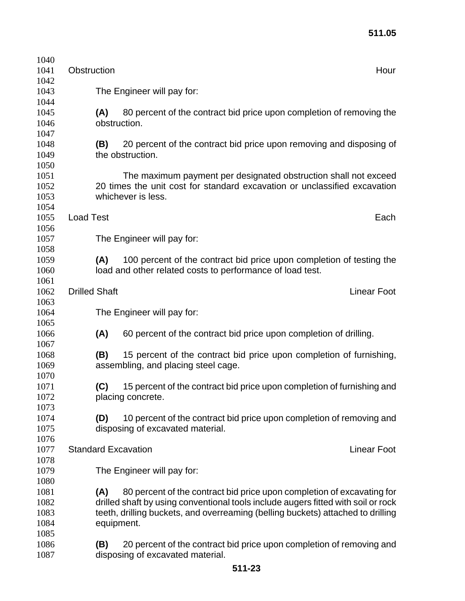| 1040<br>1041                 | Obstruction          |                     |                                                                                                                                                                                                                                                | Hour               |
|------------------------------|----------------------|---------------------|------------------------------------------------------------------------------------------------------------------------------------------------------------------------------------------------------------------------------------------------|--------------------|
| 1042<br>1043                 |                      |                     | The Engineer will pay for:                                                                                                                                                                                                                     |                    |
| 1044<br>1045<br>1046         |                      | (A)<br>obstruction. | 80 percent of the contract bid price upon completion of removing the                                                                                                                                                                           |                    |
| 1047<br>1048<br>1049<br>1050 |                      | (B)                 | 20 percent of the contract bid price upon removing and disposing of<br>the obstruction.                                                                                                                                                        |                    |
| 1051<br>1052<br>1053         |                      |                     | The maximum payment per designated obstruction shall not exceed<br>20 times the unit cost for standard excavation or unclassified excavation<br>whichever is less.                                                                             |                    |
| 1054<br>1055                 | <b>Load Test</b>     |                     |                                                                                                                                                                                                                                                | Each               |
| 1056<br>1057<br>1058         |                      |                     | The Engineer will pay for:                                                                                                                                                                                                                     |                    |
| 1059<br>1060                 |                      | (A)                 | 100 percent of the contract bid price upon completion of testing the<br>load and other related costs to performance of load test.                                                                                                              |                    |
| 1061<br>1062<br>1063         | <b>Drilled Shaft</b> |                     |                                                                                                                                                                                                                                                | <b>Linear Foot</b> |
| 1064<br>1065                 |                      |                     | The Engineer will pay for:                                                                                                                                                                                                                     |                    |
| 1066<br>1067                 |                      | (A)                 | 60 percent of the contract bid price upon completion of drilling.                                                                                                                                                                              |                    |
| 1068<br>1069<br>1070         |                      | (B)                 | 15 percent of the contract bid price upon completion of furnishing,<br>assembling, and placing steel cage.                                                                                                                                     |                    |
| 1071<br>1072                 |                      | (C)                 | 15 percent of the contract bid price upon completion of furnishing and<br>placing concrete.                                                                                                                                                    |                    |
| 1073<br>1074<br>1075         |                      | (D)                 | 10 percent of the contract bid price upon completion of removing and<br>disposing of excavated material.                                                                                                                                       |                    |
| 1076<br>1077<br>1078         |                      |                     | <b>Standard Excavation</b>                                                                                                                                                                                                                     | <b>Linear Foot</b> |
| 1079<br>1080                 |                      |                     | The Engineer will pay for:                                                                                                                                                                                                                     |                    |
| 1081<br>1082<br>1083<br>1084 |                      | (A)<br>equipment.   | 80 percent of the contract bid price upon completion of excavating for<br>drilled shaft by using conventional tools include augers fitted with soil or rock<br>teeth, drilling buckets, and overreaming (belling buckets) attached to drilling |                    |
| 1085<br>1086<br>1087         |                      | (B)                 | 20 percent of the contract bid price upon completion of removing and<br>disposing of excavated material.                                                                                                                                       |                    |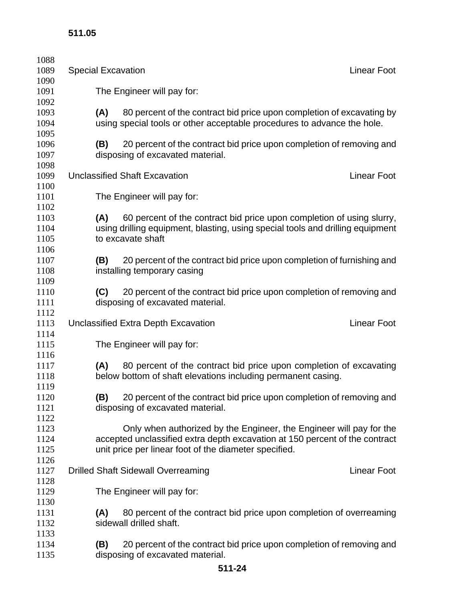| 1088<br>1089 | <b>Special Excavation</b>  |                                                                                | <b>Linear Foot</b> |  |  |
|--------------|----------------------------|--------------------------------------------------------------------------------|--------------------|--|--|
| 1090         |                            |                                                                                |                    |  |  |
| 1091         | The Engineer will pay for: |                                                                                |                    |  |  |
| 1092         |                            |                                                                                |                    |  |  |
| 1093         | (A)                        | 80 percent of the contract bid price upon completion of excavating by          |                    |  |  |
| 1094         |                            | using special tools or other acceptable procedures to advance the hole.        |                    |  |  |
| 1095         |                            |                                                                                |                    |  |  |
| 1096         | (B)                        | 20 percent of the contract bid price upon completion of removing and           |                    |  |  |
| 1097         |                            | disposing of excavated material.                                               |                    |  |  |
| 1098         |                            |                                                                                |                    |  |  |
| 1099         |                            | <b>Unclassified Shaft Excavation</b>                                           | <b>Linear Foot</b> |  |  |
| 1100         |                            |                                                                                |                    |  |  |
| 1101         |                            | The Engineer will pay for:                                                     |                    |  |  |
| 1102         |                            |                                                                                |                    |  |  |
| 1103         | (A)                        | 60 percent of the contract bid price upon completion of using slurry,          |                    |  |  |
| 1104         |                            | using drilling equipment, blasting, using special tools and drilling equipment |                    |  |  |
| 1105         |                            | to excavate shaft                                                              |                    |  |  |
| 1106         |                            |                                                                                |                    |  |  |
| 1107         | (B)                        | 20 percent of the contract bid price upon completion of furnishing and         |                    |  |  |
| 1108         |                            | installing temporary casing                                                    |                    |  |  |
| 1109         |                            |                                                                                |                    |  |  |
| 1110         | (C)                        | 20 percent of the contract bid price upon completion of removing and           |                    |  |  |
| 1111         |                            | disposing of excavated material.                                               |                    |  |  |
| 1112         |                            |                                                                                |                    |  |  |
| 1113         |                            | Unclassified Extra Depth Excavation                                            | <b>Linear Foot</b> |  |  |
| 1114         |                            |                                                                                |                    |  |  |
| 1115         |                            | The Engineer will pay for:                                                     |                    |  |  |
| 1116         |                            |                                                                                |                    |  |  |
| 1117         | (A)                        | 80 percent of the contract bid price upon completion of excavating             |                    |  |  |
| 1118         |                            | below bottom of shaft elevations including permanent casing.                   |                    |  |  |
| 1119         |                            |                                                                                |                    |  |  |
| 1120<br>1121 | (B)                        | 20 percent of the contract bid price upon completion of removing and           |                    |  |  |
| 1122         |                            | disposing of excavated material.                                               |                    |  |  |
| 1123         |                            | Only when authorized by the Engineer, the Engineer will pay for the            |                    |  |  |
| 1124         |                            | accepted unclassified extra depth excavation at 150 percent of the contract    |                    |  |  |
| 1125         |                            | unit price per linear foot of the diameter specified.                          |                    |  |  |
| 1126         |                            |                                                                                |                    |  |  |
| 1127         |                            | <b>Drilled Shaft Sidewall Overreaming</b>                                      | <b>Linear Foot</b> |  |  |
| 1128         |                            |                                                                                |                    |  |  |
| 1129         |                            | The Engineer will pay for:                                                     |                    |  |  |
| 1130         |                            |                                                                                |                    |  |  |
| 1131         | (A)                        | 80 percent of the contract bid price upon completion of overreaming            |                    |  |  |
| 1132         |                            | sidewall drilled shaft.                                                        |                    |  |  |
| 1133         |                            |                                                                                |                    |  |  |
| 1134         | (B)                        | 20 percent of the contract bid price upon completion of removing and           |                    |  |  |
| 1135         |                            | disposing of excavated material.                                               |                    |  |  |